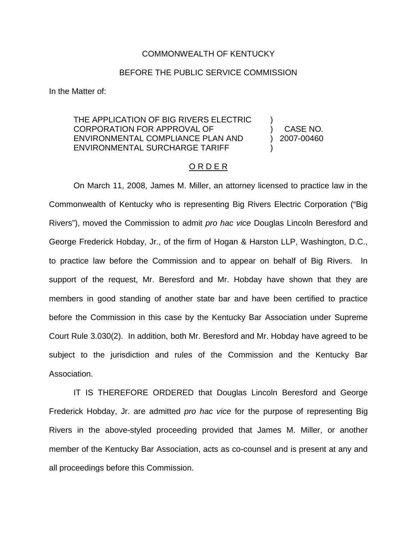## COMMONWEALTH OF KENTUCKY

## BEFORE THE PUBLIC SERVICE COMMISSION

In the Matter of:

## THE APPLICATION OF BIG RIVERS ELECTRIC CORPORATION FOR APPROVAL OF ENVIRONMENTAL COMPLIANCE PLAN AND ENVIRONMENTAL SURCHARGE TARIFF

) CASE NO. ) 2007-00460

)

)

## O R D E R

On March 11, 2008, James M. Miller, an attorney licensed to practice law in the Commonwealth of Kentucky who is representing Big Rivers Electric Corporation ("Big Rivers"), moved the Commission to admit *pro hac vice* Douglas Lincoln Beresford and George Frederick Hobday, Jr., of the firm of Hogan & Harston LLP, Washington, D.C., to practice law before the Commission and to appear on behalf of Big Rivers. In support of the request, Mr. Beresford and Mr. Hobday have shown that they are members in good standing of another state bar and have been certified to practice before the Commission in this case by the Kentucky Bar Association under Supreme Court Rule 3.030(2). In addition, both Mr. Beresford and Mr. Hobday have agreed to be subject to the jurisdiction and rules of the Commission and the Kentucky Bar Association.

IT IS THEREFORE ORDERED that Douglas Lincoln Beresford and George Frederick Hobday, Jr. are admitted *pro hac vice* for the purpose of representing Big Rivers in the above-styled proceeding provided that James M. Miller, or another member of the Kentucky Bar Association, acts as co-counsel and is present at any and all proceedings before this Commission.